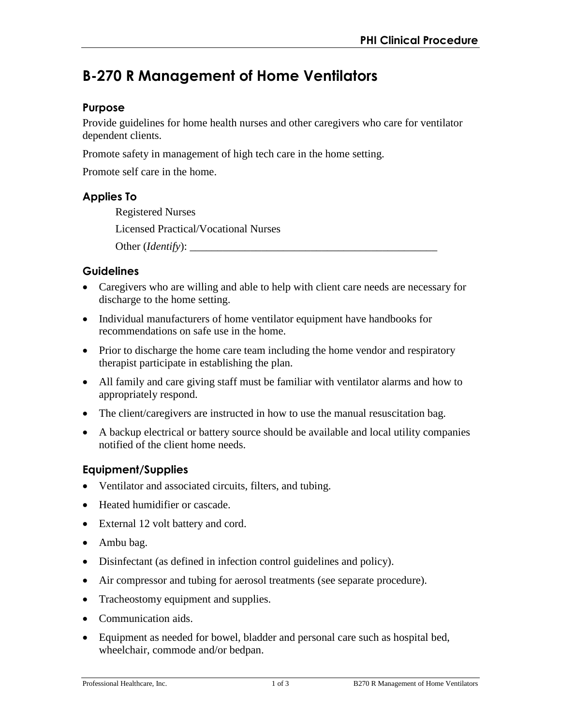# **B-270 R Management of Home Ventilators**

## **Purpose**

Provide guidelines for home health nurses and other caregivers who care for ventilator dependent clients.

Promote safety in management of high tech care in the home setting.

Promote self care in the home.

## **Applies To**

Registered Nurses Licensed Practical/Vocational Nurses Other (*Identify*): \_\_\_\_\_\_\_\_\_\_\_\_\_\_\_\_\_\_\_\_\_\_\_\_\_\_\_\_\_\_\_\_\_\_\_\_\_\_\_\_\_\_\_\_\_

## **Guidelines**

- Caregivers who are willing and able to help with client care needs are necessary for discharge to the home setting.
- Individual manufacturers of home ventilator equipment have handbooks for recommendations on safe use in the home.
- Prior to discharge the home care team including the home vendor and respiratory therapist participate in establishing the plan.
- All family and care giving staff must be familiar with ventilator alarms and how to appropriately respond.
- The client/caregivers are instructed in how to use the manual resuscitation bag.
- A backup electrical or battery source should be available and local utility companies notified of the client home needs.

## **Equipment/Supplies**

- Ventilator and associated circuits, filters, and tubing.
- Heated humidifier or cascade.
- External 12 volt battery and cord.
- Ambu bag.
- Disinfectant (as defined in infection control guidelines and policy).
- Air compressor and tubing for aerosol treatments (see separate procedure).
- Tracheostomy equipment and supplies.
- Communication aids.
- Equipment as needed for bowel, bladder and personal care such as hospital bed, wheelchair, commode and/or bedpan.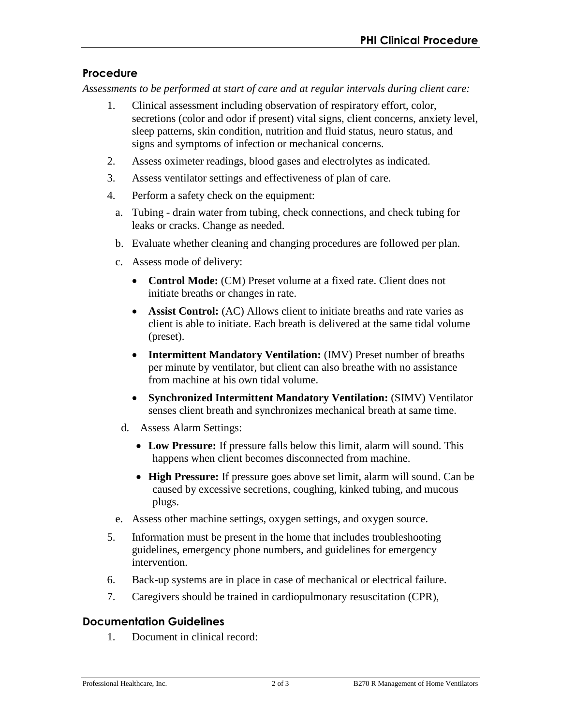# **Procedure**

*Assessments to be performed at start of care and at regular intervals during client care:* 

- 1. Clinical assessment including observation of respiratory effort, color, secretions (color and odor if present) vital signs, client concerns, anxiety level, sleep patterns, skin condition, nutrition and fluid status, neuro status, and signs and symptoms of infection or mechanical concerns.
- 2. Assess oximeter readings, blood gases and electrolytes as indicated.
- 3. Assess ventilator settings and effectiveness of plan of care.
- 4. Perform a safety check on the equipment:
	- a. Tubing drain water from tubing, check connections, and check tubing for leaks or cracks. Change as needed.
	- b. Evaluate whether cleaning and changing procedures are followed per plan.
	- c. Assess mode of delivery:
		- **Control Mode:** (CM) Preset volume at a fixed rate. Client does not initiate breaths or changes in rate.
		- **Assist Control:** (AC) Allows client to initiate breaths and rate varies as client is able to initiate. Each breath is delivered at the same tidal volume (preset).
		- **Intermittent Mandatory Ventilation:** (IMV) Preset number of breaths per minute by ventilator, but client can also breathe with no assistance from machine at his own tidal volume.
		- **Synchronized Intermittent Mandatory Ventilation:** (SIMV) Ventilator senses client breath and synchronizes mechanical breath at same time.
		- d. Assess Alarm Settings:
			- **Low Pressure:** If pressure falls below this limit, alarm will sound. This happens when client becomes disconnected from machine.
			- **High Pressure:** If pressure goes above set limit, alarm will sound. Can be caused by excessive secretions, coughing, kinked tubing, and mucous plugs.
	- e. Assess other machine settings, oxygen settings, and oxygen source.
- 5. Information must be present in the home that includes troubleshooting guidelines, emergency phone numbers, and guidelines for emergency intervention.
- 6. Back-up systems are in place in case of mechanical or electrical failure.
- 7. Caregivers should be trained in cardiopulmonary resuscitation (CPR),

## **Documentation Guidelines**

1. Document in clinical record: